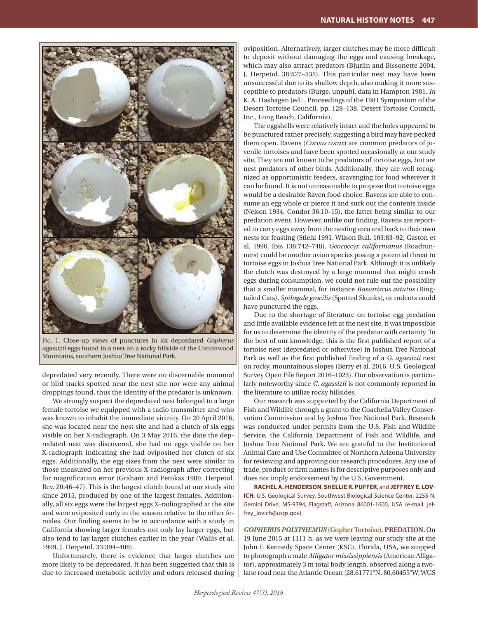

Fig. 1. Close-up views of punctures in six depredated *Gopherus agassizii* eggs found in a nest on a rocky hillside of the Cottonwood Mountains, southern Joshua Tree National Park.

depredated very recently. There were no discernable mammal or bird tracks spotted near the nest site nor were any animal droppings found, thus the identity of the predator is unknown.

We strongly suspect the depredated nest belonged to a large female tortoise we equipped with a radio transmitter and who was known to inhabit the immediate vicinity. On 20 April 2016, she was located near the nest site and had a clutch of six eggs visible on her X-radiograph. On 3 May 2016, the date the depredated nest was discovered, she had no eggs visible on her X-radiograph indicating she had oviposited her clutch of six eggs. Additionally, the egg sizes from the nest were similar to those measured on her previous X-radiograph after correcting for magnification error (Graham and Petokas 1989. Herpetol. Rev. 20:46–47). This is the largest clutch found at our study site since 2015, produced by one of the largest females. Additionally, all six eggs were the largest eggs X-radiographed at the site and were oviposited early in the season relative to the other females. Our finding seems to be in accordance with a study in California showing larger females not only lay larger eggs, but also tend to lay larger clutches earlier in the year (Wallis et al. 1999. J. Herpetol. 33:394–408).

Unfortunately, there is evidence that larger clutches are more likely to be depredated. It has been suggested that this is due to increased metabolic activity and odors released during oviposition. Alternatively, larger clutches may be more difficult to deposit without damaging the eggs and causing breakage, which may also attract predators (Bjurlin and Bissonette 2004. J. Herpetol. 38:527–535). This particular nest may have been unsuccessful due to its shallow depth, also making it more susceptible to predators (Burge, unpubl. data in Hampton 1981. *In* K. A. Hashagen [ed.], Proceedings of the 1981 Symposium of the Desert Tortoise Council, pp. 128–138. Desert Tortoise Council, Inc., Long Beach, California).

The eggshells were relatively intact and the holes appeared to be punctured rather precisely, suggesting a bird may have pecked them open. Ravens (*Corvus corax*) are common predators of juvenile tortoises and have been spotted occasionally at our study site. They are not known to be predators of tortoise eggs, but are nest predators of other birds. Additionally, they are well recognized as opportunistic feeders, scavenging for food wherever it can be found. It is not unreasonable to propose that tortoise eggs would be a desirable Raven food choice. Ravens are able to consume an egg whole or pierce it and suck out the contents inside (Nelson 1934. Condor 36:10–15), the latter being similar to our predation event. However, unlike our finding, Ravens are reported to carry eggs away from the nesting area and back to their own nests for feasting (Stiehl 1991. Wilson Bull. 103:83–92; Gaston et al. 1996. Ibis 138:742–748). *Geococcyx californianus* (Roadrunners) could be another avian species posing a potential threat to tortoise eggs in Joshua Tree National Park. Although it is unlikely the clutch was destroyed by a large mammal that might crush eggs during consumption, we could not rule out the possibility that a smaller mammal, for instance *Bassariscus astutus* (Ringtailed Cats), *Spilogale gracilis* (Spotted Skunks), or rodents could have punctured the eggs.

Due to the shortage of literature on tortoise egg predation and little available evidence left at the nest site, it was impossible for us to determine the identity of the predator with certainty. To the best of our knowledge, this is the first published report of a tortoise nest (depredated or otherwise) in Joshua Tree National Park as well as the first published finding of a *G. agassizii* nest on rocky, mountainous slopes (Berry et al. 2016. U.S. Geological Survey Open File Report 2016–1023). Our observation is particularly noteworthy since *G. agassizii* is not commonly reported in the literature to utilize rocky hillsides.

Our research was supported by the California Department of Fish and Wildlife through a grant to the Coachella Valley Conservation Commission and by Joshua Tree National Park. Research was conducted under permits from the U.S. Fish and Wildlife Service, the California Department of Fish and Wildlife, and Joshua Tree National Park. We are grateful to the Institutional Animal Care and Use Committee of Northern Arizona University for reviewing and approving our research procedures. Any use of trade, product or firm names is for descriptive purposes only and does not imply endorsement by the U.S. Government.

**RACHEL A. HENDERSON**, **SHELLIE R. PUFFER**, and **JEFFREY E. LOV-ICH**, U.S. Geological Survey, Southwest Biological Science Center, 2255 N. Gemini Drive, MS-9394, Flagstaff, Arizona 86001-1600, USA (e-mail: jeffrey\_lovich@usgs.gov).

*GOPHERUS POLYPHEMUS* **(Gopher Tortoise). PREDATION.** On 19 June 2015 at 1111 h, as we were leaving our study site at the John F. Kennedy Space Center (KSC), Florida, USA, we stopped to photograph a male *Alligator mississippiensis* (American Alligator), approximately 3 m total body length, observed along a twolane road near the Atlantic Ocean (28.61771°N, 80.60455°W; WGS